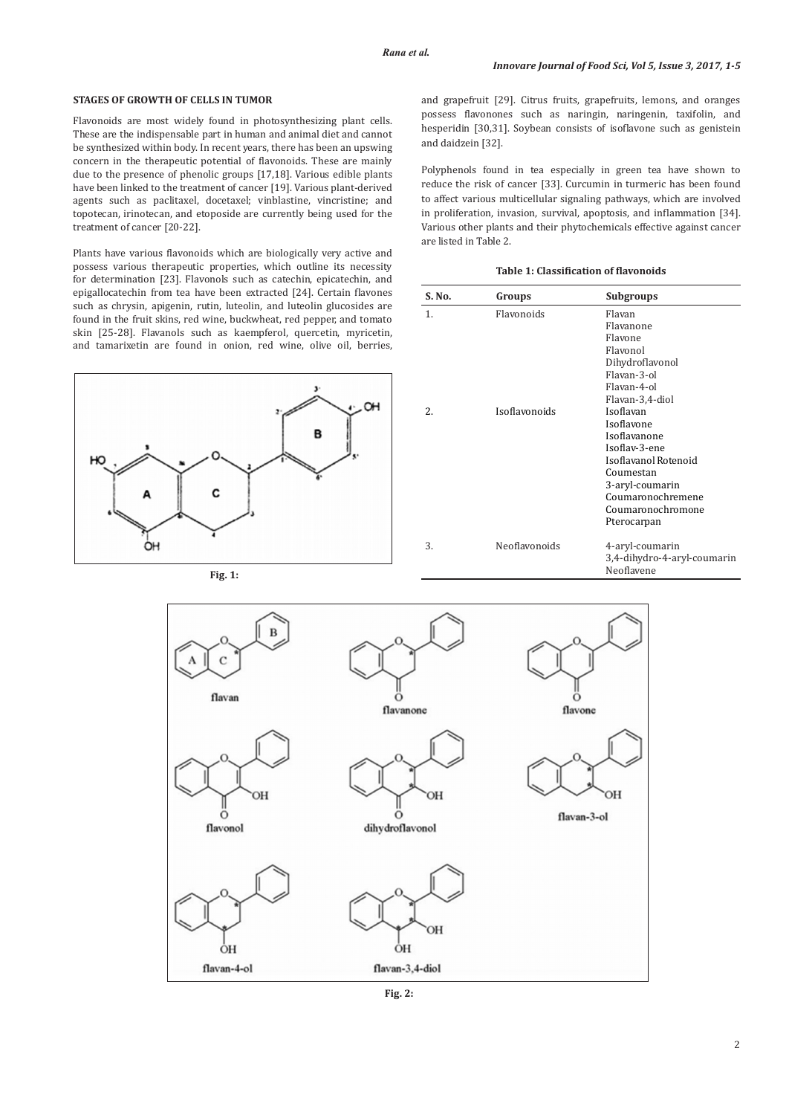# **STAGES OF GROWTH OF CELLS IN TUMOR**

Flavonoids are most widely found in photosynthesizing plant cells. These are the indispensable part in human and animal diet and cannot be synthesized within body. In recent years, there has been an upswing concern in the therapeutic potential of flavonoids. These are mainly due to the presence of phenolic groups [17,18]. Various edible plants have been linked to the treatment of cancer [19]. Various plant-derived agents such as paclitaxel, docetaxel; vinblastine, vincristine; and topotecan, irinotecan, and etoposide are currently being used for the treatment of cancer [20-22].

Plants have various flavonoids which are biologically very active and possess various therapeutic properties, which outline its necessity for determination [23]. Flavonols such as catechin, epicatechin, and epigallocatechin from tea have been extracted [24]. Certain flavones such as chrysin, apigenin, rutin, luteolin, and luteolin glucosides are found in the fruit skins, red wine, buckwheat, red pepper, and tomato skin [25-28]. Flavanols such as kaempferol, quercetin, myricetin, and tamarixetin are found in onion, red wine, olive oil, berries,



**Fig. 1:** 

and grapefruit [29]. Citrus fruits, grapefruits, lemons, and oranges possess flavonones such as naringin, naringenin, taxifolin, and hesperidin [30,31]. Soybean consists of isoflavone such as genistein and daidzein [32].

Polyphenols found in tea especially in green tea have shown to reduce the risk of cancer [33]. Curcumin in turmeric has been found to affect various multicellular signaling pathways, which are involved in proliferation, invasion, survival, apoptosis, and inflammation [34]. Various other plants and their phytochemicals effective against cancer are listed in Table 2.

# **Table 1: Classification of flavonoids**

| S. No. | Groups            | <b>Subgroups</b>                                                                                                                                                                             |
|--------|-------------------|----------------------------------------------------------------------------------------------------------------------------------------------------------------------------------------------|
| 1.     | <b>Flavonoids</b> | Flavan<br>Flavanone<br>Flavone<br>Flavonol<br>Dihydroflavonol<br>Flavan-3-ol<br>Flavan-4-ol                                                                                                  |
| 2.     | Isoflavonoids     | Flavan-3,4-diol<br>Isoflavan<br>Isoflavone<br>Isoflavanone<br>Isoflav-3-ene<br>Isoflavanol Rotenoid<br>Coumestan<br>3-aryl-coumarin<br>Coumaronochremene<br>Coumaronochromone<br>Pterocarpan |
| 3.     | Neoflavonoids     | 4-aryl-coumarin<br>3,4-dihydro-4-aryl-coumarin<br>Neoflavene                                                                                                                                 |



**Fig. 2:**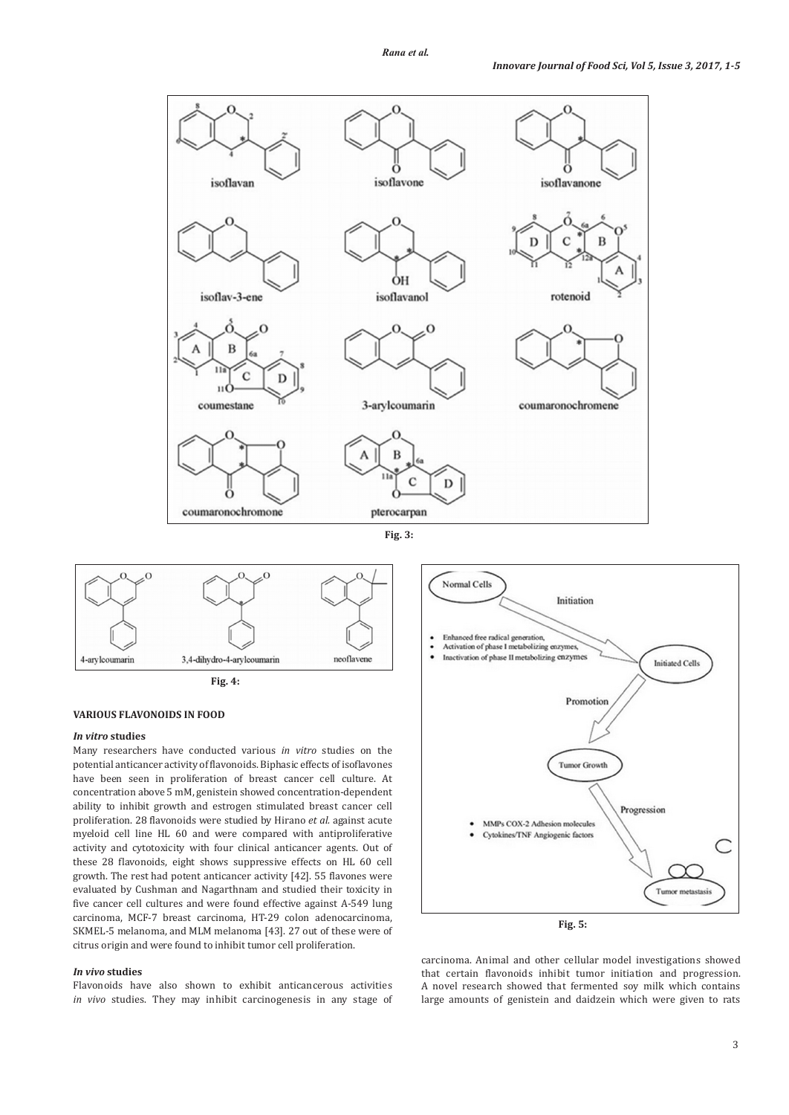







### **VARIOUS FLAVONOIDS IN FOOD**

### *In vitro* **studies**

Many researchers have conducted various *in vitro* studies on the potential anticancer activity of flavonoids. Biphasic effects of isoflavones have been seen in proliferation of breast cancer cell culture. At concentration above 5 mM, genistein showed concentration-dependent ability to inhibit growth and estrogen stimulated breast cancer cell proliferation. 28 flavonoids were studied by Hirano *et al.* against acute myeloid cell line HL 60 and were compared with antiproliferative activity and cytotoxicity with four clinical anticancer agents. Out of these 28 flavonoids, eight shows suppressive effects on HL 60 cell growth. The rest had potent anticancer activity [42]. 55 flavones were evaluated by Cushman and Nagarthnam and studied their toxicity in five cancer cell cultures and were found effective against A-549 lung carcinoma, MCF-7 breast carcinoma, HT-29 colon adenocarcinoma, SKMEL-5 melanoma, and MLM melanoma [43]. 27 out of these were of citrus origin and were found to inhibit tumor cell proliferation.

# *In vivo* **studies**

Flavonoids have also shown to exhibit anticancerous activities *in vivo* studies. They may inhibit carcinogenesis in any stage of



**Fig. 5:** 

carcinoma. Animal and other cellular model investigations showed that certain flavonoids inhibit tumor initiation and progression. A novel research showed that fermented soy milk which contains large amounts of genistein and daidzein which were given to rats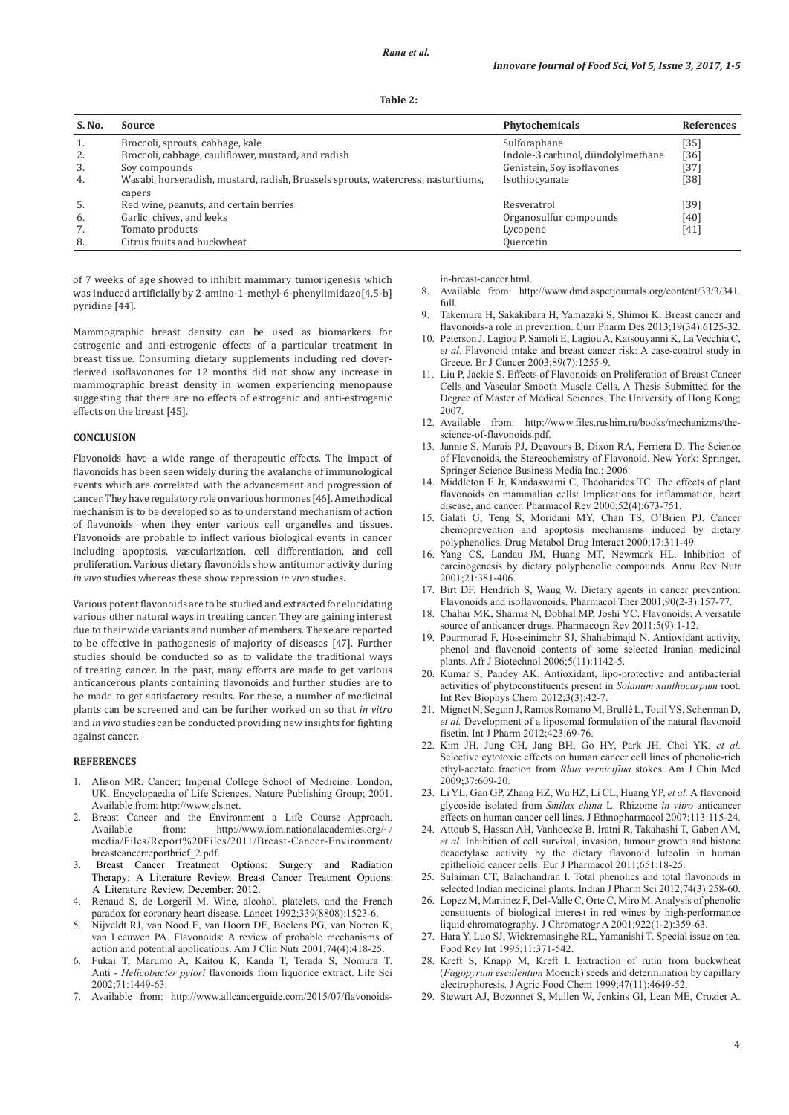| S. No. | Source                                                                           | Phytochemicals                      | <b>References</b> |
|--------|----------------------------------------------------------------------------------|-------------------------------------|-------------------|
| 1.     | Broccoli, sprouts, cabbage, kale                                                 | Sulforaphane                        | [35]              |
| 2.     | Broccoli, cabbage, cauliflower, mustard, and radish                              | Indole-3 carbinol, diindolylmethane | [36]              |
| 3.     | Soy compounds                                                                    | Genistein, Soy isoflavones          | [37]              |
| 4.     | Wasabi, horseradish, mustard, radish, Brussels sprouts, watercress, nasturtiums, | Isothiocyanate                      | [38]              |
|        | capers                                                                           |                                     |                   |
| -5.    | Red wine, peanuts, and certain berries                                           | Resveratrol                         | [39]              |
| 6.     | Garlic, chives, and leeks                                                        | Organosulfur compounds              | [40]              |
| 7.     | Tomato products                                                                  | Lycopene                            | [41]              |
| 8.     | Citrus fruits and buckwheat                                                      | <b>Quercetin</b>                    |                   |

of 7 weeks of age showed to inhibit mammary tumorigenesis which was induced artificially by 2-amino-1-methyl-6-phenylimidazo[4,5-b] pyridine [44].

Mammographic breast density can be used as biomarkers for estrogenic and anti-estrogenic effects of a particular treatment in breast tissue. Consuming dietary supplements including red cloverderived isoflavonones for 12 months did not show any increase in mammographic breast density in women experiencing menopause suggesting that there are no effects of estrogenic and anti-estrogenic effects on the breast [45].

#### **CONCLUSION**

Flavonoids have a wide range of therapeutic effects. The impact of flavonoids has been seen widely during the avalanche of immunological events which are correlated with the advancement and progression of cancer. They have regulatory role on various hormones [46]. Amethodical mechanism is to be developed so as to understand mechanism of action of flavonoids, when they enter various cell organelles and tissues. Flavonoids are probable to inflect various biological events in cancer including apoptosis, vascularization, cell differentiation, and cell proliferation. Various dietary flavonoids show antitumor activity during *in vivo* studies whereas these show repression *in vivo* studies.

Various potent flavonoids are to be studied and extracted for elucidating various other natural ways in treating cancer. They are gaining interest due to their wide variants and number of members. These are reported to be effective in pathogenesis of majority of diseases [47]. Further studies should be conducted so as to validate the traditional ways of treating cancer. In the past, many efforts are made to get various anticancerous plants containing flavonoids and further studies are to be made to get satisfactory results. For these, a number of medicinal plants can be screened and can be further worked on so that *in vitro* and *in vivo* studies can be conducted providing new insights for fighting against cancer.

## **REFERENCES**

- 1. Alison MR. Cancer; Imperial College School of Medicine. London, UK. Encyclopaedia of Life Sciences, Nature Publishing Group; 2001. Available from: http://www.els.net.
- Breast Cancer and the Environment a Life Course Approach. Available from: http://www.iom.nationalacademies.org/~/ media/Files/Report%20Files/2011/Breast-Cancer-Environment/ breastcancerreportbrief\_2.pdf.
- 3. Breast Cancer Treatment Options: Surgery and Radiation Therapy: A Literature Review. Breast Cancer Treatment Options: A Literature Review, December; 2012.
- 4. Renaud S, de Lorgeril M. Wine, alcohol, platelets, and the French paradox for coronary heart disease. Lancet 1992;339(8808):1523-6.
- 5. Nijveldt RJ, van Nood E, van Hoorn DE, Boelens PG, van Norren K, van Leeuwen PA. Flavonoids: A review of probable mechanisms of action and potential applications. Am J Clin Nutr 2001;74(4):418-25.
- 6. Fukai T, Marumo A, Kaitou K, Kanda T, Terada S, Nomura T. Anti - *Helicobacter pylori* flavonoids from liquorice extract. Life Sci 2002;71:1449-63.
- 7. Available from: http://www.allcancerguide.com/2015/07/flavonoids-

in-breast-cancer.html.

- 8. Available from: http://www.dmd.aspetjournals.org/content/33/3/341. full.
- 9. Takemura H, Sakakibara H, Yamazaki S, Shimoi K. Breast cancer and flavonoids-a role in prevention. Curr Pharm Des 2013;19(34):6125-32.
- 10. Peterson J, Lagiou P, Samoli E, Lagiou A, Katsouyanni K, La Vecchia C, *et al.* Flavonoid intake and breast cancer risk: A case-control study in Greece. Br J Cancer 2003;89(7):1255-9.
- 11. Liu P, Jackie S. Effects of Flavonoids on Proliferation of Breast Cancer Cells and Vascular Smooth Muscle Cells, A Thesis Submitted for the Degree of Master of Medical Sciences, The University of Hong Kong; 2007.
- 12. Available from: http://www.files.rushim.ru/books/mechanizms/thescience-of-flavonoids.pdf.
- 13. Jannie S, Marais PJ, Deavours B, Dixon RA, Ferriera D. The Science of Flavonoids, the Stereochemistry of Flavonoid. New York: Springer, Springer Science Business Media Inc.; 2006.
- 14. Middleton E Jr, Kandaswami C, Theoharides TC. The effects of plant flavonoids on mammalian cells: Implications for inflammation, heart disease, and cancer. Pharmacol Rev 2000;52(4):673-751.
- 15. Galati G, Teng S, Moridani MY, Chan TS, O'Brien PJ. Cancer chemoprevention and apoptosis mechanisms induced by dietary polyphenolics. Drug Metabol Drug Interact 2000;17:311-49.
- 16. Yang CS, Landau JM, Huang MT, Newmark HL. Inhibition of carcinogenesis by dietary polyphenolic compounds. Annu Rev Nutr 2001;21:381-406.
- 17. Birt DF, Hendrich S, Wang W. Dietary agents in cancer prevention: Flavonoids and isoflavonoids. Pharmacol Ther 2001;90(2-3):157-77.
- 18. Chahar MK, Sharma N, Dobhal MP, Joshi YC. Flavonoids: A versatile source of anticancer drugs. Pharmacogn Rev 2011;5(9):1-12.
- 19. Pourmorad F, Hosseinimehr SJ, Shahabimajd N. Antioxidant activity, phenol and flavonoid contents of some selected Iranian medicinal plants. Afr J Biotechnol 2006;5(11):1142-5.
- 20. Kumar S, Pandey AK. Antioxidant, lipo-protective and antibacterial activities of phytoconstituents present in *Solanum xanthocarpum* root. Int Rev Biophys Chem 2012;3(3):42-7.
- 21. Mignet N, Seguin J, Ramos Romano M, Brullé L, Touil YS, Scherman D, *et al.* Development of a liposomal formulation of the natural flavonoid fisetin. Int J Pharm 2012;423:69-76.
- 22. Kim JH, Jung CH, Jang BH, Go HY, Park JH, Choi YK, *et al*. Selective cytotoxic effects on human cancer cell lines of phenolic-rich ethyl-acetate fraction from *Rhus verniciflua* stokes. Am J Chin Med 2009;37:609-20.
- 23. Li YL, Gan GP, Zhang HZ, Wu HZ, Li CL, Huang YP, *et al.* A flavonoid glycoside isolated from *Smilax china* L. Rhizome *in vitro* anticancer effects on human cancer cell lines. J Ethnopharmacol 2007;113:115-24.
- 24. Attoub S, Hassan AH, Vanhoecke B, Iratni R, Takahashi T, Gaben AM, *et al*. Inhibition of cell survival, invasion, tumour growth and histone deacetylase activity by the dietary flavonoid luteolin in human epithelioid cancer cells. Eur J Pharmacol 2011;651:18-25.
- Sulaiman CT, Balachandran I. Total phenolics and total flavonoids in selected Indian medicinal plants. Indian J Pharm Sci 2012;74(3):258-60.
- 26. Lopez M, Martinez F, Del-Valle C, Orte C, Miro M. Analysis of phenolic constituents of biological interest in red wines by high-performance liquid chromatography. J Chromatogr A 2001;922(1-2):359-63.
- 27. Hara Y, Luo SJ, Wickremasinghe RL, Yamanishi T. Special issue on tea. Food Rev Int 1995;11:371-542.
- 28. Kreft S, Knapp M, Kreft I. Extraction of rutin from buckwheat (*Fagopyrum esculentum* Moench) seeds and determination by capillary electrophoresis. J Agric Food Chem 1999;47(11):4649-52.
- 29. Stewart AJ, Bozonnet S, Mullen W, Jenkins GI, Lean ME, Crozier A.